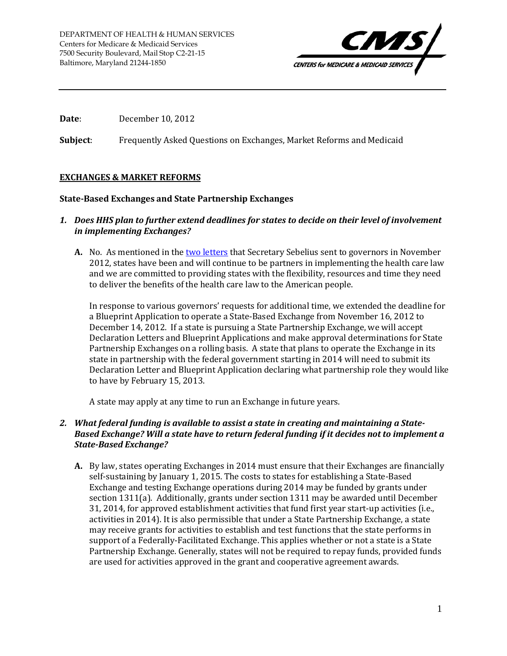

**Date**: December 10, 2012

**Subject**: Frequently Asked Questions on Exchanges, Market Reforms and Medicaid

# **EXCHANGES & MARKET REFORMS**

## **State-Based Exchanges and State Partnership Exchanges**

- *1. Does HHS plan to further extend deadlines for states to decide on their level of involvement in implementing Exchanges?*
	- **A.** No. As mentioned in th[e two letters](http://www.cms.gov/CCIIO/Resources/Technical-Implementation-Letters/index.html) that Secretary Sebelius sent to governors in November 2012, states have been and will continue to be partners in implementing the health care law and we are committed to providing states with the flexibility, resources and time they need to deliver the benefits of the health care law to the American people.

In response to various governors' requests for additional time, we extended the deadline for a Blueprint Application to operate a State-Based Exchange from November 16, 2012 to December 14, 2012. If a state is pursuing a State Partnership Exchange, we will accept Declaration Letters and Blueprint Applications and make approval determinations for State Partnership Exchanges on a rolling basis. A state that plans to operate the Exchange in its state in partnership with the federal government starting in 2014 will need to submit its Declaration Letter and Blueprint Application declaring what partnership role they would like to have by February 15, 2013.

A state may apply at any time to run an Exchange in future years.

## *2. What federal funding is available to assist a state in creating and maintaining a State-Based Exchange? Will a state have to return federal funding if it decides not to implement a State-Based Exchange?*

**A.** By law, states operating Exchanges in 2014 must ensure that their Exchanges are financially self-sustaining by January 1, 2015. The costs to states for establishing a State-Based Exchange and testing Exchange operations during 2014 may be funded by grants under section 1311(a). Additionally, grants under section 1311 may be awarded until December 31, 2014, for approved establishment activities that fund first year start-up activities (i.e., activities in 2014). It is also permissible that under a State Partnership Exchange, a state may receive grants for activities to establish and test functions that the state performs in support of a Federally-Facilitated Exchange. This applies whether or not a state is a State Partnership Exchange. Generally, states will not be required to repay funds, provided funds are used for activities approved in the grant and cooperative agreement awards.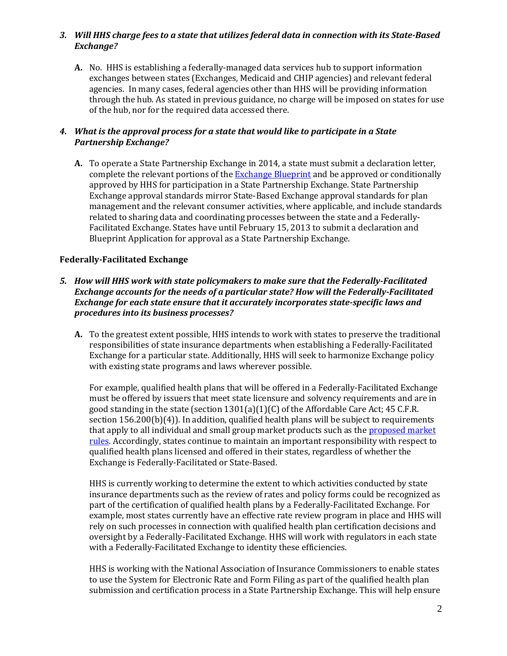## *3. Will HHS charge fees to a state that utilizes federal data in connection with its State-Based Exchange?*

**A.** No. HHS is establishing a federally-managed data services hub to support information exchanges between states (Exchanges, Medicaid and CHIP agencies) and relevant federal agencies. In many cases, federal agencies other than HHS will be providing information through the hub. As stated in previous guidance, no charge will be imposed on states for use of the hub, nor for the required data accessed there.

# *4. What is the approval process for a state that would like to participate in a State Partnership Exchange?*

**A.** To operate a State Partnership Exchange in 2014, a state must submit a declaration letter, complete the relevant portions of the [Exchange Blueprint](http://cciio.cms.gov/resources/files/hie-blueprint-11162012.pdf) and be approved or conditionally approved by HHS for participation in a State Partnership Exchange. State Partnership Exchange approval standards mirror State-Based Exchange approval standards for plan management and the relevant consumer activities, where applicable, and include standards related to sharing data and coordinating processes between the state and a Federally-Facilitated Exchange. States have until February 15, 2013 to submit a declaration and Blueprint Application for approval as a State Partnership Exchange.

# **Federally-Facilitated Exchange**

- *5. How will HHS work with state policymakers to make sure that the Federally-Facilitated Exchange accounts for the needs of a particular state? How will the Federally-Facilitated Exchange for each state ensure that it accurately incorporates state-specific laws and procedures into its business processes?*
	- **A.** To the greatest extent possible, HHS intends to work with states to preserve the traditional responsibilities of state insurance departments when establishing a Federally-Facilitated Exchange for a particular state. Additionally, HHS will seek to harmonize Exchange policy with existing state programs and laws wherever possible.

For example, qualified health plans that will be offered in a Federally-Facilitated Exchange must be offered by issuers that meet state licensure and solvency requirements and are in good standing in the state (section  $1301(a)(1)(C)$  of the Affordable Care Act; 45 C.F.R. section 156.200(b)(4)). In addition, qualified health plans will be subject to requirements that apply to all individual and small group market products such as th[e proposed](http://www.gpo.gov/fdsys/pkg/FR-2012-11-26/pdf/2012-28428.pdf) market [rules.](http://www.gpo.gov/fdsys/pkg/FR-2012-11-26/pdf/2012-28428.pdf) Accordingly, states continue to maintain an important responsibility with respect to qualified health plans licensed and offered in their states, regardless of whether the Exchange is Federally-Facilitated or State-Based.

HHS is currently working to determine the extent to which activities conducted by state insurance departments such as the review of rates and policy forms could be recognized as part of the certification of qualified health plans by a Federally-Facilitated Exchange. For example, most states currently have an effective rate review program in place and HHS will rely on such processes in connection with qualified health plan certification decisions and oversight by a Federally-Facilitated Exchange. HHS will work with regulators in each state with a Federally-Facilitated Exchange to identity these efficiencies.

HHS is working with the National Association of Insurance Commissioners to enable states to use the System for Electronic Rate and Form Filing as part of the qualified health plan submission and certification process in a State Partnership Exchange. This will help ensure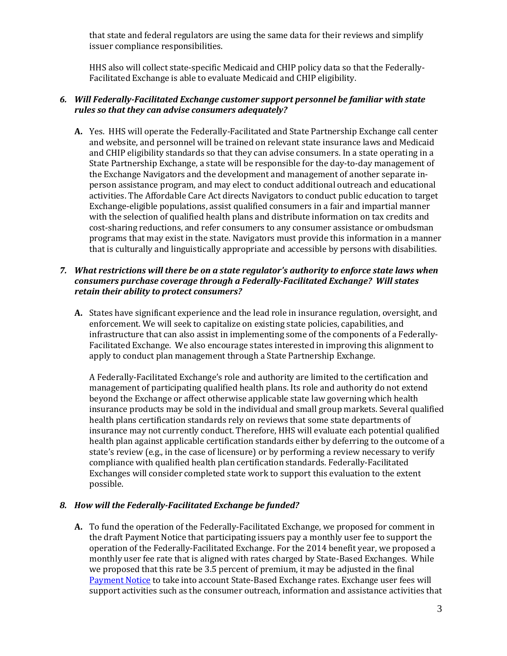that state and federal regulators are using the same data for their reviews and simplify issuer compliance responsibilities.

HHS also will collect state-specific Medicaid and CHIP policy data so that the Federally-Facilitated Exchange is able to evaluate Medicaid and CHIP eligibility.

#### *6. Will Federally-Facilitated Exchange customer support personnel be familiar with state rules so that they can advise consumers adequately?*

**A.** Yes. HHS will operate the Federally-Facilitated and State Partnership Exchange call center and website, and personnel will be trained on relevant state insurance laws and Medicaid and CHIP eligibility standards so that they can advise consumers. In a state operating in a State Partnership Exchange, a state will be responsible for the day-to-day management of the Exchange Navigators and the development and management of another separate inperson assistance program, and may elect to conduct additional outreach and educational activities. The Affordable Care Act directs Navigators to conduct public education to target Exchange-eligible populations, assist qualified consumers in a fair and impartial manner with the selection of qualified health plans and distribute information on tax credits and cost-sharing reductions, and refer consumers to any consumer assistance or ombudsman programs that may exist in the state. Navigators must provide this information in a manner that is culturally and linguistically appropriate and accessible by persons with disabilities.

### *7. What restrictions will there be on a state regulator's authority to enforce state laws when consumers purchase coverage through a Federally-Facilitated Exchange? Will states retain their ability to protect consumers?*

**A.** States have significant experience and the lead role in insurance regulation, oversight, and enforcement. We will seek to capitalize on existing state policies, capabilities, and infrastructure that can also assist in implementing some of the components of a Federally-Facilitated Exchange. We also encourage states interested in improving this alignment to apply to conduct plan management through a State Partnership Exchange.

A Federally-Facilitated Exchange's role and authority are limited to the certification and management of participating qualified health plans. Its role and authority do not extend beyond the Exchange or affect otherwise applicable state law governing which health insurance products may be sold in the individual and small group markets. Several qualified health plans certification standards rely on reviews that some state departments of insurance may not currently conduct. Therefore, HHS will evaluate each potential qualified health plan against applicable certification standards either by deferring to the outcome of a state's review (e.g., in the case of licensure) or by performing a review necessary to verify compliance with qualified health plan certification standards. Federally-Facilitated Exchanges will consider completed state work to support this evaluation to the extent possible.

## *8. How will the Federally-Facilitated Exchange be funded?*

**A.** To fund the operation of the Federally-Facilitated Exchange, we proposed for comment in the draft Payment Notice that participating issuers pay a monthly user fee to support the operation of the Federally-Facilitated Exchange. For the 2014 benefit year, we proposed a monthly user fee rate that is aligned with rates charged by State-Based Exchanges. While we proposed that this rate be 3.5 percent of premium, it may be adjusted in the final [Payment](http://www.federalregister.gov/articles/2012/12/07/2012-29184/patient-protection-and-affordable-care-act-hhs-notice-of-benefit-and-payment-parameters-for-2014) Notice to take into account State-Based Exchange rates. Exchange user fees will support activities such as the consumer outreach, information and assistance activities that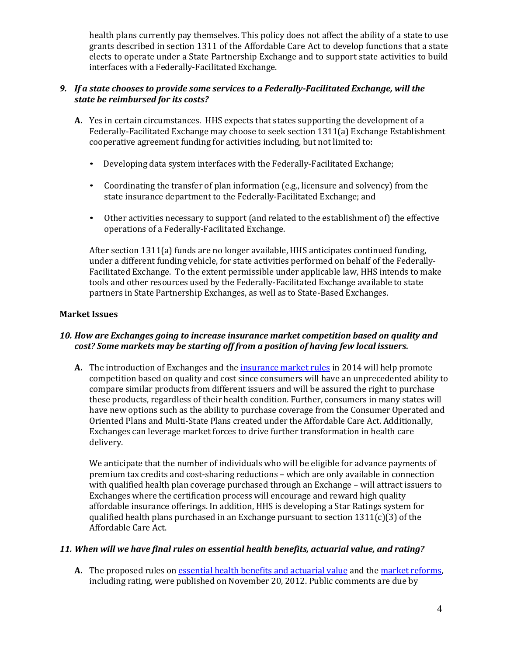health plans currently pay themselves. This policy does not affect the ability of a state to use grants described in section 1311 of the Affordable Care Act to develop functions that a state elects to operate under a State Partnership Exchange and to support state activities to build interfaces with a Federally-Facilitated Exchange.

# *9. If a state chooses to provide some services to a Federally-Facilitated Exchange, will the state be reimbursed for its costs?*

- **A.** Yes in certain circumstances. HHS expects that states supporting the development of a Federally-Facilitated Exchange may choose to seek section 1311(a) Exchange Establishment cooperative agreement funding for activities including, but not limited to:
	- Developing data system interfaces with the Federally-Facilitated Exchange;
	- Coordinating the transfer of plan information (e.g., licensure and solvency) from the state insurance department to the Federally-Facilitated Exchange; and
	- Other activities necessary to support (and related to the establishment of) the effective operations of a Federally-Facilitated Exchange.

After section 1311(a) funds are no longer available, HHS anticipates continued funding, under a different funding vehicle, for state activities performed on behalf of the Federally-Facilitated Exchange. To the extent permissible under applicable law, HHS intends to make tools and other resources used by the Federally-Facilitated Exchange available to state partners in State Partnership Exchanges, as well as to State-Based Exchanges.

# **Market Issues**

## *10. How are Exchanges going to increase insurance market competition based on quality and cost? Some markets may be starting off from a position of having few local issuers.*

**A.** The introduction of Exchanges and th[e insurance market](http://www.gpo.gov/fdsys/pkg/FR-2012-11-26/pdf/2012-28428.pdf) rules in 2014 will help promote competition based on quality and cost since consumers will have an unprecedented ability to compare similar products from different issuers and will be assured the right to purchase these products, regardless of their health condition. Further, consumers in many states will have new options such as the ability to purchase coverage from the Consumer Operated and Oriented Plans and Multi-State Plans created under the Affordable Care Act. Additionally, Exchanges can leverage market forces to drive further transformation in health care delivery.

We anticipate that the number of individuals who will be eligible for advance payments of premium tax credits and cost-sharing reductions – which are only available in connection with qualified health plan coverage purchased through an Exchange – will attract issuers to Exchanges where the certification process will encourage and reward high quality affordable insurance offerings. In addition, HHS is developing a Star Ratings system for qualified health plans purchased in an Exchange pursuant to section  $1311(c)(3)$  of the Affordable Care Act.

## *11. When will we have final rules on essential health benefits, actuarial value, and rating?*

**A.** The proposed rules o[n essential health benefits and actuarial value](http://www.gpo.gov/fdsys/pkg/FR-2012-11-26/pdf/2012-28362.pdf) and the market [reforms,](http://www.gpo.gov/fdsys/pkg/FR-2012-11-26/pdf/2012-28428.pdf) including rating, were published on November 20, 2012. Public comments are due by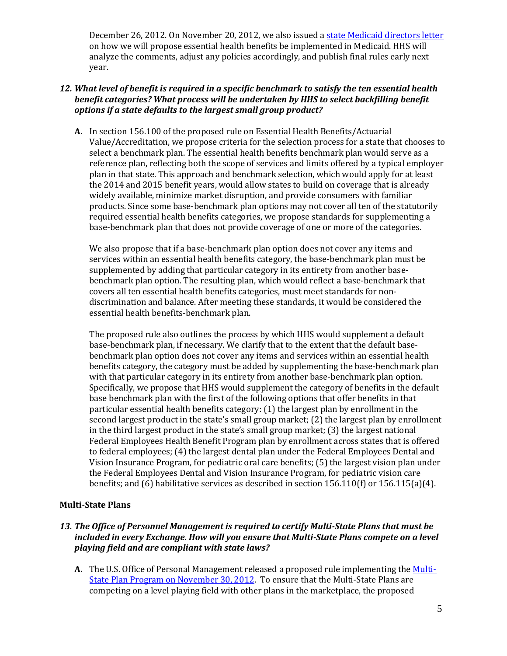December 26, 2012. On November 20, 2012, we also issued a state Medicaid [directors letter](http://www.medicaid.gov/Federal-Policy-Guidance/downloads/SMD-12-003.pdf) on how we will propose essential health benefits be implemented in Medicaid. HHS will analyze the comments, adjust any policies accordingly, and publish final rules early next year.

### *12. What level of benefit is required in a specific benchmark to satisfy the ten essential health benefit categories? What process will be undertaken by HHS to select backfilling benefit options if a state defaults to the largest small group product?*

**A.** In section 156.100 of the proposed rule on Essential Health Benefits/Actuarial Value/Accreditation, we propose criteria for the selection process for a state that chooses to select a benchmark plan. The essential health benefits benchmark plan would serve as a reference plan, reflecting both the scope of services and limits offered by a typical employer plan in that state. This approach and benchmark selection, which would apply for at least the 2014 and 2015 benefit years, would allow states to build on coverage that is already widely available, minimize market disruption, and provide consumers with familiar products. Since some base-benchmark plan options may not cover all ten of the statutorily required essential health benefits categories, we propose standards for supplementing a base-benchmark plan that does not provide coverage of one or more of the categories.

We also propose that if a base-benchmark plan option does not cover any items and services within an essential health benefits category, the base-benchmark plan must be supplemented by adding that particular category in its entirety from another basebenchmark plan option. The resulting plan, which would reflect a base-benchmark that covers all ten essential health benefits categories, must meet standards for nondiscrimination and balance. After meeting these standards, it would be considered the essential health benefits-benchmark plan.

The proposed rule also outlines the process by which HHS would supplement a default base-benchmark plan, if necessary. We clarify that to the extent that the default basebenchmark plan option does not cover any items and services within an essential health benefits category, the category must be added by supplementing the base-benchmark plan with that particular category in its entirety from another base-benchmark plan option. Specifically, we propose that HHS would supplement the category of benefits in the default base benchmark plan with the first of the following options that offer benefits in that particular essential health benefits category: (1) the largest plan by enrollment in the second largest product in the state's small group market; (2) the largest plan by enrollment in the third largest product in the state's small group market; (3) the largest national Federal Employees Health Benefit Program plan by enrollment across states that is offered to federal employees; (4) the largest dental plan under the Federal Employees Dental and Vision Insurance Program, for pediatric oral care benefits; (5) the largest vision plan under the Federal Employees Dental and Vision Insurance Program, for pediatric vision care benefits; and (6) habilitative services as described in section  $156.110(f)$  or  $156.115(a)(4)$ .

## **Multi-State Plans**

# *13. The Office of Personnel Management is required to certify Multi-State Plans that must be included in every Exchange. How will you ensure that Multi-State Plans compete on a level playing field and are compliant with state laws?*

A. The U.S. Office of Personal Management released a proposed rule implementing the [Multi-](http://www.gpo.gov/fdsys/pkg/FR-2012-12-05/pdf/2012-29118.pdf)State Plan [Program on](http://www.gpo.gov/fdsys/pkg/FR-2012-12-05/pdf/2012-29118.pdf) November 30, 2012. To ensure that the Multi-State Plans are competing on a level playing field with other plans in the marketplace, the proposed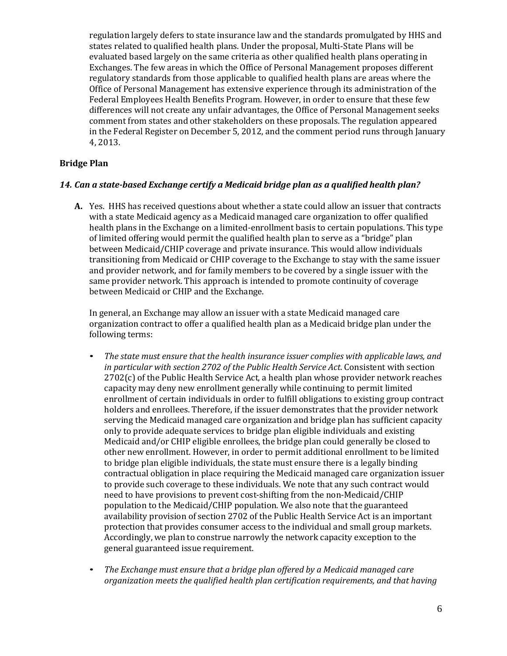regulation largely defers to state insurance law and the standards promulgated by HHS and states related to qualified health plans. Under the proposal, Multi-State Plans will be evaluated based largely on the same criteria as other qualified health plans operating in Exchanges. The few areas in which the Office of Personal Management proposes different regulatory standards from those applicable to qualified health plans are areas where the Office of Personal Management has extensive experience through its administration of the Federal Employees Health Benefits Program. However, in order to ensure that these few differences will not create any unfair advantages, the Office of Personal Management seeks comment from states and other stakeholders on these proposals. The regulation appeared in the Federal Register on December 5, 2012, and the comment period runs through January 4, 2013.

### **Bridge Plan**

### *14. Can a state-based Exchange certify a Medicaid bridge plan as a qualified health plan?*

**A.** Yes. HHS has received questions about whether a state could allow an issuer that contracts with a state Medicaid agency as a Medicaid managed care organization to offer qualified health plans in the Exchange on a limited-enrollment basis to certain populations. This type of limited offering would permit the qualified health plan to serve as a "bridge" plan between Medicaid/CHIP coverage and private insurance. This would allow individuals transitioning from Medicaid or CHIP coverage to the Exchange to stay with the same issuer and provider network, and for family members to be covered by a single issuer with the same provider network. This approach is intended to promote continuity of coverage between Medicaid or CHIP and the Exchange.

In general, an Exchange may allow an issuer with a state Medicaid managed care organization contract to offer a qualified health plan as a Medicaid bridge plan under the following terms:

- *The state must ensure that the health insurance issuer complies with applicable laws, and in particular with section 2702 of the Public Health Service Act.* Consistent with section 2702(c) of the Public Health Service Act, a health plan whose provider network reaches capacity may deny new enrollment generally while continuing to permit limited enrollment of certain individuals in order to fulfill obligations to existing group contract holders and enrollees. Therefore, if the issuer demonstrates that the provider network serving the Medicaid managed care organization and bridge plan has sufficient capacity only to provide adequate services to bridge plan eligible individuals and existing Medicaid and/or CHIP eligible enrollees, the bridge plan could generally be closed to other new enrollment. However, in order to permit additional enrollment to be limited to bridge plan eligible individuals, the state must ensure there is a legally binding contractual obligation in place requiring the Medicaid managed care organization issuer to provide such coverage to these individuals. We note that any such contract would need to have provisions to prevent cost-shifting from the non-Medicaid/CHIP population to the Medicaid/CHIP population. We also note that the guaranteed availability provision of section 2702 of the Public Health Service Act is an important protection that provides consumer access to the individual and small group markets. Accordingly, we plan to construe narrowly the network capacity exception to the general guaranteed issue requirement.
- *The Exchange must ensure that a bridge plan offered by a Medicaid managed care organization meets the qualified health plan certification requirements, and that having*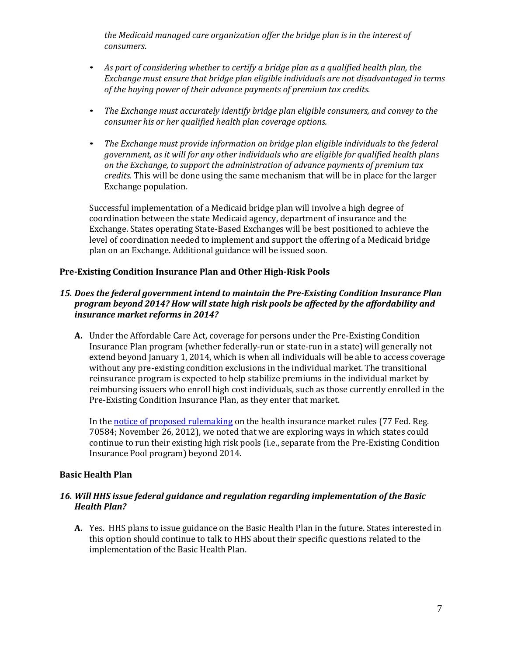*the Medicaid managed care organization offer the bridge plan is in the interest of consumers*.

- *As part of considering whether to certify a bridge plan as a qualified health plan, the Exchange must ensure that bridge plan eligible individuals are not disadvantaged in terms of the buying power of their advance payments of premium tax credits.*
- *The Exchange must accurately identify bridge plan eligible consumers, and convey to the consumer his or her qualified health plan coverage options.*
- *The Exchange must provide information on bridge plan eligible individuals to the federal government, as it will for any other individuals who are eligible for qualified health plans on the Exchange, to support the administration of advance payments of premium tax credits.* This will be done using the same mechanism that will be in place for the larger Exchange population.

Successful implementation of a Medicaid bridge plan will involve a high degree of coordination between the state Medicaid agency, department of insurance and the Exchange. States operating State-Based Exchanges will be best positioned to achieve the level of coordination needed to implement and support the offering of a Medicaid bridge plan on an Exchange. Additional guidance will be issued soon.

## **Pre-Existing Condition Insurance Plan and Other High-Risk Pools**

### *15. Does the federal government intend to maintain the Pre-Existing Condition Insurance Plan program beyond 2014? How will state high risk pools be affected by the affordability and insurance market reforms in 2014?*

**A.** Under the Affordable Care Act, coverage for persons under the Pre-Existing Condition Insurance Plan program (whether federally-run or state-run in a state) will generally not extend beyond January 1, 2014, which is when all individuals will be able to access coverage without any pre-existing condition exclusions in the individual market. The transitional reinsurance program is expected to help stabilize premiums in the individual market by reimbursing issuers who enroll high cost individuals, such as those currently enrolled in the Pre-Existing Condition Insurance Plan, as they enter that market.

In th[e notice of proposed rulemaking o](http://www.gpo.gov/fdsys/pkg/FR-2012-11-26/pdf/2012-28428.pdf)n the health insurance market rules (77 Fed. Reg. 70584; November 26, 2012), we noted that we are exploring ways in which states could continue to run their existing high risk pools (i.e., separate from the Pre-Existing Condition Insurance Pool program) beyond 2014.

#### **Basic Health Plan**

### *16. Will HHS issue federal guidance and regulation regarding implementation of the Basic Health Plan?*

**A.** Yes. HHS plans to issue guidance on the Basic Health Plan in the future. States interested in this option should continue to talk to HHS about their specific questions related to the implementation of the Basic Health Plan.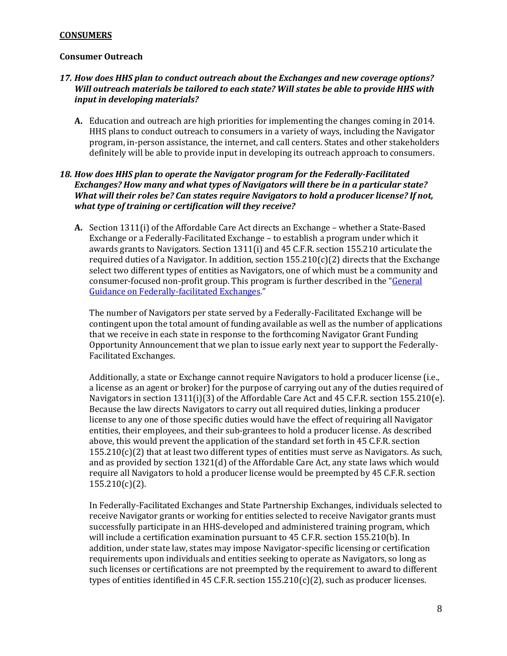#### **CONSUMERS**

#### **Consumer Outreach**

### *17. How does HHS plan to conduct outreach about the Exchanges and new coverage options? Will outreach materials be tailored to each state? Will states be able to provide HHS with input in developing materials?*

**A.** Education and outreach are high priorities for implementing the changes coming in 2014. HHS plans to conduct outreach to consumers in a variety of ways, including the Navigator program, in-person assistance, the internet, and call centers. States and other stakeholders definitely will be able to provide input in developing its outreach approach to consumers.

## *18. How does HHS plan to operate the Navigator program for the Federally-Facilitated Exchanges? How many and what types of Navigators will there be in a particular state? What will their roles be? Can states require Navigators to hold a producer license? If not, what type of training or certification will they receive?*

**A.** Section 1311(i) of the Affordable Care Act directs an Exchange – whether a State-Based Exchange or a Federally-Facilitated Exchange – to establish a program under which it awards grants to Navigators. Section 1311(i) and 45 C.F.R. section 155.210 articulate the required duties of a Navigator. In addition, section  $155.210(c)(2)$  directs that the Exchange select two different types of entities as Navigators, one of which must be a community and consumer-focused non-profit group. This program is further described in the ["General](http://cciio.cms.gov/resources/files/FFE_Guidance_FINAL_VERSION_051612.pdf) [Guidance on Federally-facilitated Exchanges."](http://cciio.cms.gov/resources/files/FFE_Guidance_FINAL_VERSION_051612.pdf)

The number of Navigators per state served by a Federally-Facilitated Exchange will be contingent upon the total amount of funding available as well as the number of applications that we receive in each state in response to the forthcoming Navigator Grant Funding Opportunity Announcement that we plan to issue early next year to support the Federally-Facilitated Exchanges.

Additionally, a state or Exchange cannot require Navigators to hold a producer license (i.e., a license as an agent or broker) for the purpose of carrying out any of the duties required of Navigators in section 1311(i)(3) of the Affordable Care Act and 45 C.F.R. section 155.210(e). Because the law directs Navigators to carry out all required duties, linking a producer license to any one of those specific duties would have the effect of requiring all Navigator entities, their employees, and their sub-grantees to hold a producer license. As described above, this would prevent the application of the standard set forth in 45 C.F.R. section  $155.210(c)(2)$  that at least two different types of entities must serve as Navigators. As such, and as provided by section 1321(d) of the Affordable Care Act, any state laws which would require all Navigators to hold a producer license would be preempted by 45 C.F.R. section 155.210(c)(2).

In Federally-Facilitated Exchanges and State Partnership Exchanges, individuals selected to receive Navigator grants or working for entities selected to receive Navigator grants must successfully participate in an HHS-developed and administered training program, which will include a certification examination pursuant to 45 C.F.R. section 155.210(b). In addition, under state law, states may impose Navigator-specific licensing or certification requirements upon individuals and entities seeking to operate as Navigators, so long as such licenses or certifications are not preempted by the requirement to award to different types of entities identified in 45 C.F.R. section  $155.210(c)(2)$ , such as producer licenses.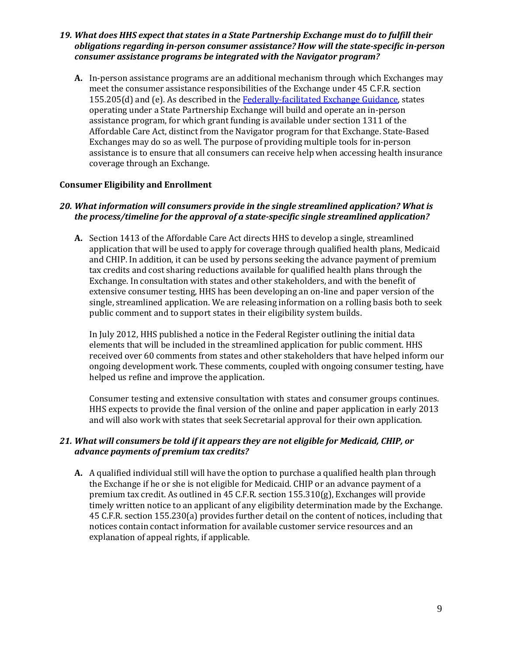### *19. What does HHS expect that states in a State Partnership Exchange must do to fulfill their obligations regarding in-person consumer assistance? How will the state-specific in-person consumer assistance programs be integrated with the Navigator program?*

**A.** In-person assistance programs are an additional mechanism through which Exchanges may meet the consumer assistance responsibilities of the Exchange under 45 C.F.R. section 155.205(d) and (e). As described in the [Federally-facilitated Exchange Guidance,](http://cciio.cms.gov/resources/files/FFE_Guidance_FINAL_VERSION_051612.pdf) states operating under a State Partnership Exchange will build and operate an in-person assistance program, for which grant funding is available under section 1311 of the Affordable Care Act, distinct from the Navigator program for that Exchange. State-Based Exchanges may do so as well. The purpose of providing multiple tools for in-person assistance is to ensure that all consumers can receive help when accessing health insurance coverage through an Exchange.

## **Consumer Eligibility and Enrollment**

### *20. What information will consumers provide in the single streamlined application? What is the process/timeline for the approval of a state-specific single streamlined application?*

**A.** Section 1413 of the Affordable Care Act directs HHS to develop a single, streamlined application that will be used to apply for coverage through qualified health plans, Medicaid and CHIP. In addition, it can be used by persons seeking the advance payment of premium tax credits and cost sharing reductions available for qualified health plans through the Exchange. In consultation with states and other stakeholders, and with the benefit of extensive consumer testing, HHS has been developing an on-line and paper version of the single, streamlined application. We are releasing information on a rolling basis both to seek public comment and to support states in their eligibility system builds.

In July 2012, HHS published a notice in the Federal Register outlining the initial data elements that will be included in the streamlined application for public comment. HHS received over 60 comments from states and other stakeholders that have helped inform our ongoing development work. These comments, coupled with ongoing consumer testing, have helped us refine and improve the application.

Consumer testing and extensive consultation with states and consumer groups continues. HHS expects to provide the final version of the online and paper application in early 2013 and will also work with states that seek Secretarial approval for their own application.

### *21. What will consumers be told if it appears they are not eligible for Medicaid, CHIP, or advance payments of premium tax credits?*

**A.** A qualified individual still will have the option to purchase a qualified health plan through the Exchange if he or she is not eligible for Medicaid. CHIP or an advance payment of a premium tax credit. As outlined in 45 C.F.R. section 155.310(g), Exchanges will provide timely written notice to an applicant of any eligibility determination made by the Exchange. 45 C.F.R. section 155.230(a) provides further detail on the content of notices, including that notices contain contact information for available customer service resources and an explanation of appeal rights, if applicable.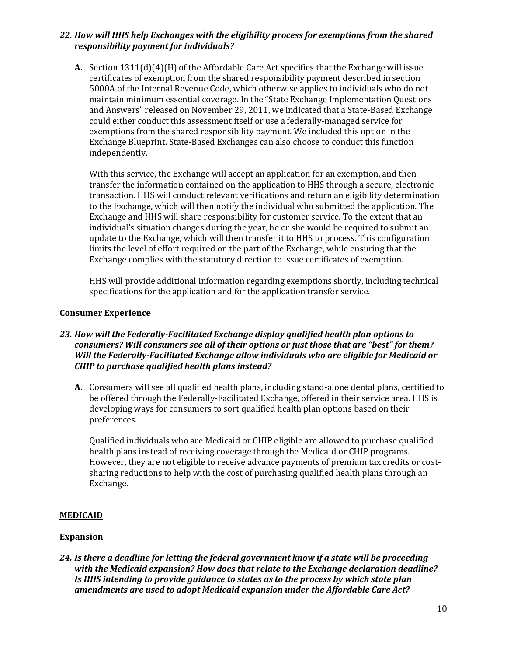## *22. How will HHS help Exchanges with the eligibility process for exemptions from the shared responsibility payment for individuals?*

**A.** Section 1311(d)(4)(H) of the Affordable Care Act specifies that the Exchange will issue certificates of exemption from the shared responsibility payment described in section 5000A of the Internal Revenue Code, which otherwise applies to individuals who do not maintain minimum essential coverage. In the "State Exchange Implementation Questions and Answers" released on November 29, 2011, we indicated that a State-Based Exchange could either conduct this assessment itself or use a federally-managed service for exemptions from the shared responsibility payment. We included this option in the Exchange Blueprint. State-Based Exchanges can also choose to conduct this function independently.

With this service, the Exchange will accept an application for an exemption, and then transfer the information contained on the application to HHS through a secure, electronic transaction. HHS will conduct relevant verifications and return an eligibility determination to the Exchange, which will then notify the individual who submitted the application. The Exchange and HHS will share responsibility for customer service. To the extent that an individual's situation changes during the year, he or she would be required to submit an update to the Exchange, which will then transfer it to HHS to process. This configuration limits the level of effort required on the part of the Exchange, while ensuring that the Exchange complies with the statutory direction to issue certificates of exemption.

HHS will provide additional information regarding exemptions shortly, including technical specifications for the application and for the application transfer service.

### **Consumer Experience**

### *23. How will the Federally-Facilitated Exchange display qualified health plan options to consumers? Will consumers see all of their options or just those that are "best" for them? Will the Federally-Facilitated Exchange allow individuals who are eligible for Medicaid or CHIP to purchase qualified health plans instead?*

**A.** Consumers will see all qualified health plans, including stand-alone dental plans, certified to be offered through the Federally-Facilitated Exchange, offered in their service area. HHS is developing ways for consumers to sort qualified health plan options based on their preferences.

Qualified individuals who are Medicaid or CHIP eligible are allowed to purchase qualified health plans instead of receiving coverage through the Medicaid or CHIP programs. However, they are not eligible to receive advance payments of premium tax credits or costsharing reductions to help with the cost of purchasing qualified health plans through an Exchange.

## **MEDICAID**

#### **Expansion**

*24. Is there a deadline for letting the federal government know if a state will be proceeding with the Medicaid expansion? How does that relate to the Exchange declaration deadline? Is HHS intending to provide guidance to states as to the process by which state plan amendments are used to adopt Medicaid expansion under the Affordable Care Act?*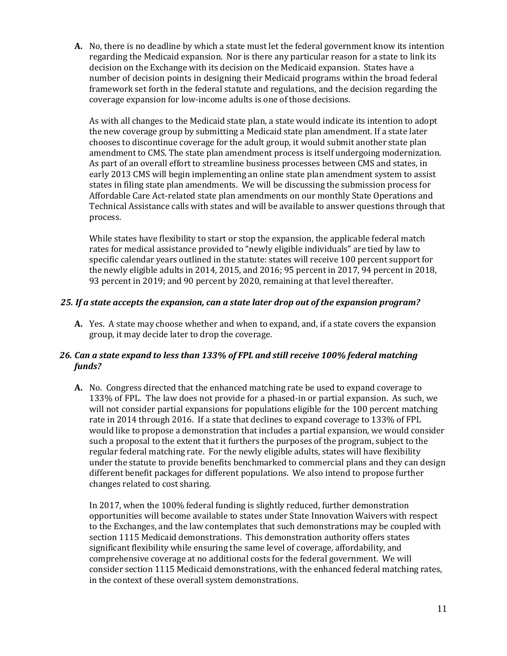**A.** No, there is no deadline by which a state must let the federal government know its intention regarding the Medicaid expansion. Nor is there any particular reason for a state to link its decision on the Exchange with its decision on the Medicaid expansion. States have a number of decision points in designing their Medicaid programs within the broad federal framework set forth in the federal statute and regulations, and the decision regarding the coverage expansion for low-income adults is one of those decisions.

As with all changes to the Medicaid state plan, a state would indicate its intention to adopt the new coverage group by submitting a Medicaid state plan amendment. If a state later chooses to discontinue coverage for the adult group, it would submit another state plan amendment to CMS. The state plan amendment process is itself undergoing modernization. As part of an overall effort to streamline business processes between CMS and states, in early 2013 CMS will begin implementing an online state plan amendment system to assist states in filing state plan amendments. We will be discussing the submission process for Affordable Care Act-related state plan amendments on our monthly State Operations and Technical Assistance calls with states and will be available to answer questions through that process.

While states have flexibility to start or stop the expansion, the applicable federal match rates for medical assistance provided to "newly eligible individuals" are tied by law to specific calendar years outlined in the statute: states will receive 100 percent support for the newly eligible adults in 2014, 2015, and 2016; 95 percent in 2017, 94 percent in 2018, 93 percent in 2019; and 90 percent by 2020, remaining at that level thereafter.

## *25. If a state accepts the expansion, can a state later drop out of the expansion program?*

**A.** Yes. A state may choose whether and when to expand, and, if a state covers the expansion group, it may decide later to drop the coverage.

## *26. Can a state expand to less than 133% of FPL and still receive 100% federal matching funds?*

**A.** No. Congress directed that the enhanced matching rate be used to expand coverage to 133% of FPL. The law does not provide for a phased-in or partial expansion. As such, we will not consider partial expansions for populations eligible for the 100 percent matching rate in 2014 through 2016. If a state that declines to expand coverage to 133% of FPL would like to propose a demonstration that includes a partial expansion, we would consider such a proposal to the extent that it furthers the purposes of the program, subject to the regular federal matching rate. For the newly eligible adults, states will have flexibility under the statute to provide benefits benchmarked to commercial plans and they can design different benefit packages for different populations. We also intend to propose further changes related to cost sharing.

In 2017, when the 100% federal funding is slightly reduced, further demonstration opportunities will become available to states under State Innovation Waivers with respect to the Exchanges, and the law contemplates that such demonstrations may be coupled with section 1115 Medicaid demonstrations. This demonstration authority offers states significant flexibility while ensuring the same level of coverage, affordability, and comprehensive coverage at no additional costs for the federal government. We will consider section 1115 Medicaid demonstrations, with the enhanced federal matching rates, in the context of these overall system demonstrations.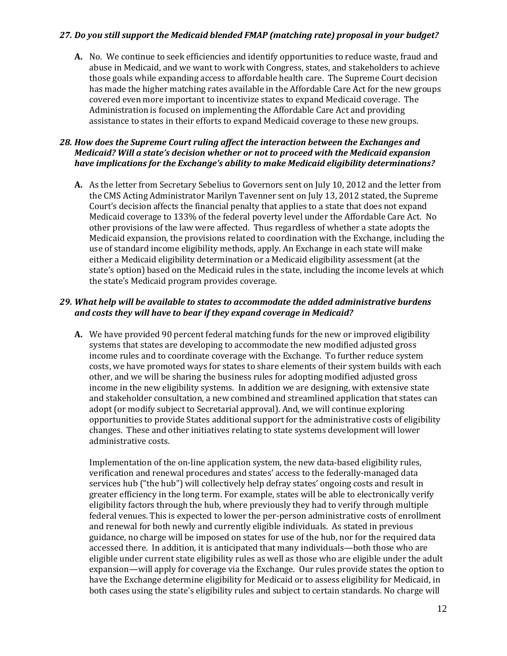### *27. Do you still support the Medicaid blended FMAP (matching rate) proposal in your budget?*

**A.** No. We continue to seek efficiencies and identify opportunities to reduce waste, fraud and abuse in Medicaid, and we want to work with Congress, states, and stakeholders to achieve those goals while expanding access to affordable health care. The Supreme Court decision has made the higher matching rates available in the Affordable Care Act for the new groups covered even more important to incentivize states to expand Medicaid coverage. The Administration is focused on implementing the Affordable Care Act and providing assistance to states in their efforts to expand Medicaid coverage to these new groups.

## *28. How does the Supreme Court ruling affect the interaction between the Exchanges and Medicaid? Will a state's decision whether or not to proceed with the Medicaid expansion have implications for the Exchange's ability to make Medicaid eligibility determinations?*

**A.** As the letter from Secretary Sebelius to Governors sent on July 10, 2012 and the letter from the CMS Acting Administrator Marilyn Tavenner sent on July 13, 2012 stated, the Supreme Court's decision affects the financial penalty that applies to a state that does not expand Medicaid coverage to 133% of the federal poverty level under the Affordable Care Act. No other provisions of the law were affected. Thus regardless of whether a state adopts the Medicaid expansion, the provisions related to coordination with the Exchange, including the use of standard income eligibility methods, apply. An Exchange in each state will make either a Medicaid eligibility determination or a Medicaid eligibility assessment (at the state's option) based on the Medicaid rules in the state, including the income levels at which the state's Medicaid program provides coverage.

## *29. What help will be available to states to accommodate the added administrative burdens and costs they will have to bear if they expand coverage in Medicaid?*

**A.** We have provided 90 percent federal matching funds for the new or improved eligibility systems that states are developing to accommodate the new modified adjusted gross income rules and to coordinate coverage with the Exchange. To further reduce system costs, we have promoted ways for states to share elements of their system builds with each other, and we will be sharing the business rules for adopting modified adjusted gross income in the new eligibility systems. In addition we are designing, with extensive state and stakeholder consultation, a new combined and streamlined application that states can adopt (or modify subject to Secretarial approval). And, we will continue exploring opportunities to provide States additional support for the administrative costs of eligibility changes. These and other initiatives relating to state systems development will lower administrative costs.

Implementation of the on-line application system, the new data-based eligibility rules, verification and renewal procedures and states' access to the federally-managed data services hub ("the hub") will collectively help defray states' ongoing costs and result in greater efficiency in the long term. For example, states will be able to electronically verify eligibility factors through the hub, where previously they had to verify through multiple federal venues. This is expected to lower the per-person administrative costs of enrollment and renewal for both newly and currently eligible individuals. As stated in previous guidance, no charge will be imposed on states for use of the hub, nor for the required data accessed there. In addition, it is anticipated that many individuals—both those who are eligible under current state eligibility rules as well as those who are eligible under the adult expansion—will apply for coverage via the Exchange. Our rules provide states the option to have the Exchange determine eligibility for Medicaid or to assess eligibility for Medicaid, in both cases using the state's eligibility rules and subject to certain standards. No charge will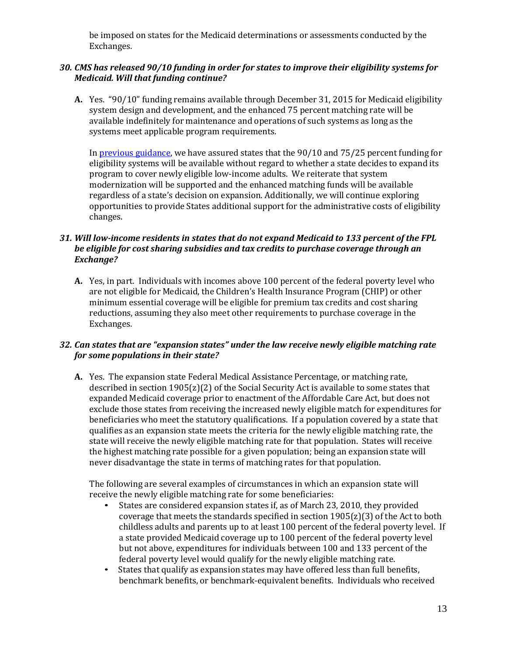be imposed on states for the Medicaid determinations or assessments conducted by the Exchanges.

# *30. CMS has released 90/10 funding in order for states to improve their eligibility systems for Medicaid. Will that funding continue?*

**A.** Yes. "90/10" funding remains available through December 31, 2015 for Medicaid eligibility system design and development, and the enhanced 75 percent matching rate will be available indefinitely for maintenance and operations of such systems as long as the systems meet applicable program requirements.

In [previous guidance,](http://www.medicaid.gov/State-Resource-Center/FAQ-Medicaid-and-CHIP-Affordable-Care-Act-Implementation/Downloads/Eligibility-and-Enrollment-Systems-FAQs.pdf) we have assured states that the 90/10 and 75/25 percent funding for eligibility systems will be available without regard to whether a state decides to expand its program to cover newly eligible low-income adults. We reiterate that system modernization will be supported and the enhanced matching funds will be available regardless of a state's decision on expansion. Additionally, we will continue exploring opportunities to provide States additional support for the administrative costs of eligibility changes.

# *31. Will low-income residents in states that do not expand Medicaid to 133 percent of the FPL be eligible for cost sharing subsidies and tax credits to purchase coverage through an Exchange?*

**A.** Yes, in part. Individuals with incomes above 100 percent of the federal poverty level who are not eligible for Medicaid, the Children's Health Insurance Program (CHIP) or other minimum essential coverage will be eligible for premium tax credits and cost sharing reductions, assuming they also meet other requirements to purchase coverage in the Exchanges.

## *32. Can states that are "expansion states" under the law receive newly eligible matching rate for some populations in their state?*

**A.** Yes. The expansion state Federal Medical Assistance Percentage, or matching rate, described in section  $1905(z)(2)$  of the Social Security Act is available to some states that expanded Medicaid coverage prior to enactment of the Affordable Care Act, but does not exclude those states from receiving the increased newly eligible match for expenditures for beneficiaries who meet the statutory qualifications. If a population covered by a state that qualifies as an expansion state meets the criteria for the newly eligible matching rate, the state will receive the newly eligible matching rate for that population. States will receive the highest matching rate possible for a given population; being an expansion state will never disadvantage the state in terms of matching rates for that population.

The following are several examples of circumstances in which an expansion state will receive the newly eligible matching rate for some beneficiaries:

- States are considered expansion states if, as of March 23, 2010, they provided coverage that meets the standards specified in section 1905(z)(3) of the Act to both childless adults and parents up to at least 100 percent of the federal poverty level. If a state provided Medicaid coverage up to 100 percent of the federal poverty level but not above, expenditures for individuals between 100 and 133 percent of the federal poverty level would qualify for the newly eligible matching rate.
- States that qualify as expansion states may have offered less than full benefits, benchmark benefits, or benchmark-equivalent benefits. Individuals who received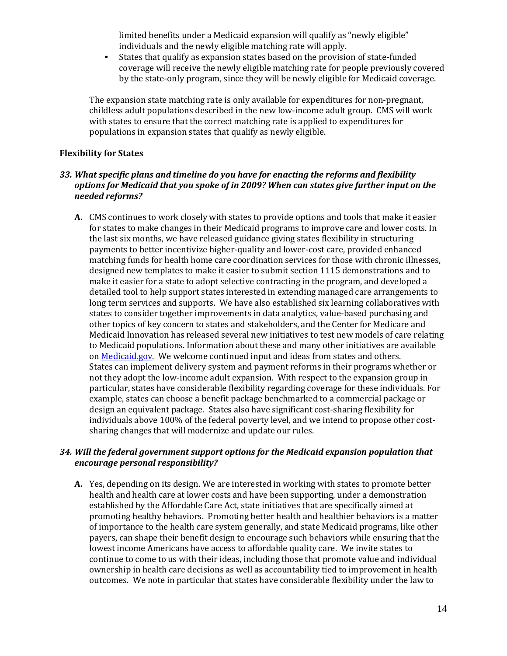limited benefits under a Medicaid expansion will qualify as "newly eligible" individuals and the newly eligible matching rate will apply.

• States that qualify as expansion states based on the provision of state-funded coverage will receive the newly eligible matching rate for people previously covered by the state-only program, since they will be newly eligible for Medicaid coverage.

The expansion state matching rate is only available for expenditures for non-pregnant, childless adult populations described in the new low-income adult group. CMS will work with states to ensure that the correct matching rate is applied to expenditures for populations in expansion states that qualify as newly eligible.

#### **Flexibility for States**

#### *33. What specific plans and timeline do you have for enacting the reforms and flexibility options for Medicaid that you spoke of in 2009? When can states give further input on the needed reforms?*

**A.** CMS continues to work closely with states to provide options and tools that make it easier for states to make changes in their Medicaid programs to improve care and lower costs. In the last six months, we have released guidance giving states flexibility in structuring payments to better incentivize higher-quality and lower-cost care, provided enhanced matching funds for health home care coordination services for those with chronic illnesses, designed new templates to make it easier to submit section 1115 demonstrations and to make it easier for a state to adopt selective contracting in the program, and developed a detailed tool to help support states interested in extending managed care arrangements to long term services and supports. We have also established six learning collaboratives with states to consider together improvements in data analytics, value-based purchasing and other topics of key concern to states and stakeholders, and the Center for Medicare and Medicaid Innovation has released several new initiatives to test new models of care relating to Medicaid populations. Information about these and many other initiatives are available on [Medicaid.gov. W](http://www.medicaid.gov/)e welcome continued input and ideas from states and others. States can implement delivery system and payment reforms in their programs whether or not they adopt the low-income adult expansion. With respect to the expansion group in particular, states have considerable flexibility regarding coverage for these individuals. For example, states can choose a benefit package benchmarked to a commercial package or design an equivalent package. States also have significant cost-sharing flexibility for individuals above 100% of the federal poverty level, and we intend to propose other costsharing changes that will modernize and update our rules.

### *34. Will the federal government support options for the Medicaid expansion population that encourage personal responsibility?*

**A.** Yes, depending on its design. We are interested in working with states to promote better health and health care at lower costs and have been supporting, under a demonstration established by the Affordable Care Act, state initiatives that are specifically aimed at promoting healthy behaviors. Promoting better health and healthier behaviors is a matter of importance to the health care system generally, and state Medicaid programs, like other payers, can shape their benefit design to encourage such behaviors while ensuring that the lowest income Americans have access to affordable quality care. We invite states to continue to come to us with their ideas, including those that promote value and individual ownership in health care decisions as well as accountability tied to improvement in health outcomes. We note in particular that states have considerable flexibility under the law to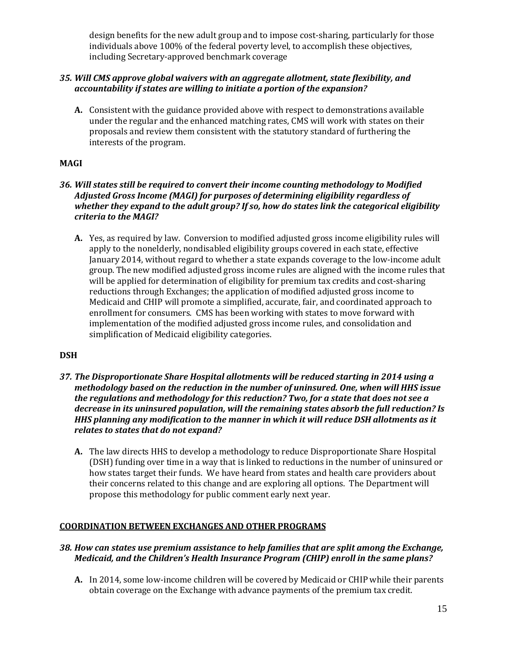design benefits for the new adult group and to impose cost-sharing, particularly for those individuals above 100% of the federal poverty level, to accomplish these objectives, including Secretary-approved benchmark coverage

## *35. Will CMS approve global waivers with an aggregate allotment, state flexibility, and accountability if states are willing to initiate a portion of the expansion?*

**A.** Consistent with the guidance provided above with respect to demonstrations available under the regular and the enhanced matching rates, CMS will work with states on their proposals and review them consistent with the statutory standard of furthering the interests of the program.

# **MAGI**

## *36. Will states still be required to convert their income counting methodology to Modified Adjusted Gross Income (MAGI) for purposes of determining eligibility regardless of whether they expand to the adult group? If so, how do states link the categorical eligibility criteria to the MAGI?*

**A.** Yes, as required by law. Conversion to modified adjusted gross income eligibility rules will apply to the nonelderly, nondisabled eligibility groups covered in each state, effective January 2014, without regard to whether a state expands coverage to the low-income adult group. The new modified adjusted gross income rules are aligned with the income rules that will be applied for determination of eligibility for premium tax credits and cost-sharing reductions through Exchanges; the application of modified adjusted gross income to Medicaid and CHIP will promote a simplified, accurate, fair, and coordinated approach to enrollment for consumers. CMS has been working with states to move forward with implementation of the modified adjusted gross income rules, and consolidation and simplification of Medicaid eligibility categories.

## **DSH**

- *37. The Disproportionate Share Hospital allotments will be reduced starting in 2014 using a methodology based on the reduction in the number of uninsured. One, when will HHS issue the regulations and methodology for this reduction? Two, for a state that does not see a decrease in its uninsured population, will the remaining states absorb the full reduction? Is HHS planning any modification to the manner in which it will reduce DSH allotments as it relates to states that do not expand?*
	- **A.** The law directs HHS to develop a methodology to reduce Disproportionate Share Hospital (DSH) funding over time in a way that is linked to reductions in the number of uninsured or how states target their funds. We have heard from states and health care providers about their concerns related to this change and are exploring all options. The Department will propose this methodology for public comment early next year.

## **COORDINATION BETWEEN EXCHANGES AND OTHER PROGRAMS**

## *38. How can states use premium assistance to help families that are split among the Exchange, Medicaid, and the Children's Health Insurance Program (CHIP) enroll in the same plans?*

**A.** In 2014, some low-income children will be covered by Medicaid or CHIP while their parents obtain coverage on the Exchange with advance payments of the premium tax credit.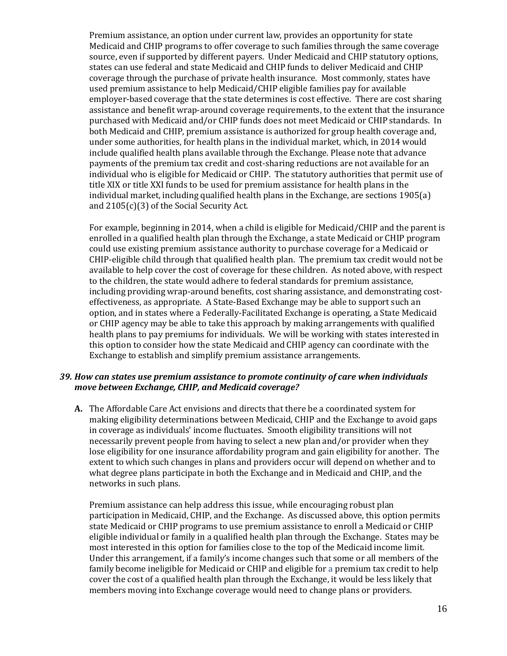Premium assistance, an option under current law, provides an opportunity for state Medicaid and CHIP programs to offer coverage to such families through the same coverage source, even if supported by different payers. Under Medicaid and CHIP statutory options, states can use federal and state Medicaid and CHIP funds to deliver Medicaid and CHIP coverage through the purchase of private health insurance. Most commonly, states have used premium assistance to help Medicaid/CHIP eligible families pay for available employer-based coverage that the state determines is cost effective. There are cost sharing assistance and benefit wrap-around coverage requirements, to the extent that the insurance purchased with Medicaid and/or CHIP funds does not meet Medicaid or CHIP standards. In both Medicaid and CHIP, premium assistance is authorized for group health coverage and, under some authorities, for health plans in the individual market, which, in 2014 would include qualified health plans available through the Exchange. Please note that advance payments of the premium tax credit and cost-sharing reductions are not available for an individual who is eligible for Medicaid or CHIP. The statutory authorities that permit use of title XIX or title XXI funds to be used for premium assistance for health plans in the individual market, including qualified health plans in the Exchange, are sections 1905(a) and 2105(c)(3) of the Social Security Act.

For example, beginning in 2014, when a child is eligible for Medicaid/CHIP and the parent is enrolled in a qualified health plan through the Exchange, a state Medicaid or CHIP program could use existing premium assistance authority to purchase coverage for a Medicaid or CHIP-eligible child through that qualified health plan. The premium tax credit would not be available to help cover the cost of coverage for these children. As noted above, with respect to the children, the state would adhere to federal standards for premium assistance, including providing wrap-around benefits, cost sharing assistance, and demonstrating costeffectiveness, as appropriate. A State-Based Exchange may be able to support such an option, and in states where a Federally-Facilitated Exchange is operating, a State Medicaid or CHIP agency may be able to take this approach by making arrangements with qualified health plans to pay premiums for individuals. We will be working with states interested in this option to consider how the state Medicaid and CHIP agency can coordinate with the Exchange to establish and simplify premium assistance arrangements.

#### *39. How can states use premium assistance to promote continuity of care when individuals move between Exchange, CHIP, and Medicaid coverage?*

**A.** The Affordable Care Act envisions and directs that there be a coordinated system for making eligibility determinations between Medicaid, CHIP and the Exchange to avoid gaps in coverage as individuals' income fluctuates. Smooth eligibility transitions will not necessarily prevent people from having to select a new plan and/or provider when they lose eligibility for one insurance affordability program and gain eligibility for another. The extent to which such changes in plans and providers occur will depend on whether and to what degree plans participate in both the Exchange and in Medicaid and CHIP, and the networks in such plans.

Premium assistance can help address this issue, while encouraging robust plan participation in Medicaid, CHIP, and the Exchange. As discussed above, this option permits state Medicaid or CHIP programs to use premium assistance to enroll a Medicaid or CHIP eligible individual or family in a qualified health plan through the Exchange. States may be most interested in this option for families close to the top of the Medicaid income limit. Under this arrangement, if a family's income changes such that some or all members of the family become ineligible for Medicaid or CHIP and eligible for a premium tax credit to help cover the cost of a qualified health plan through the Exchange, it would be less likely that members moving into Exchange coverage would need to change plans or providers.